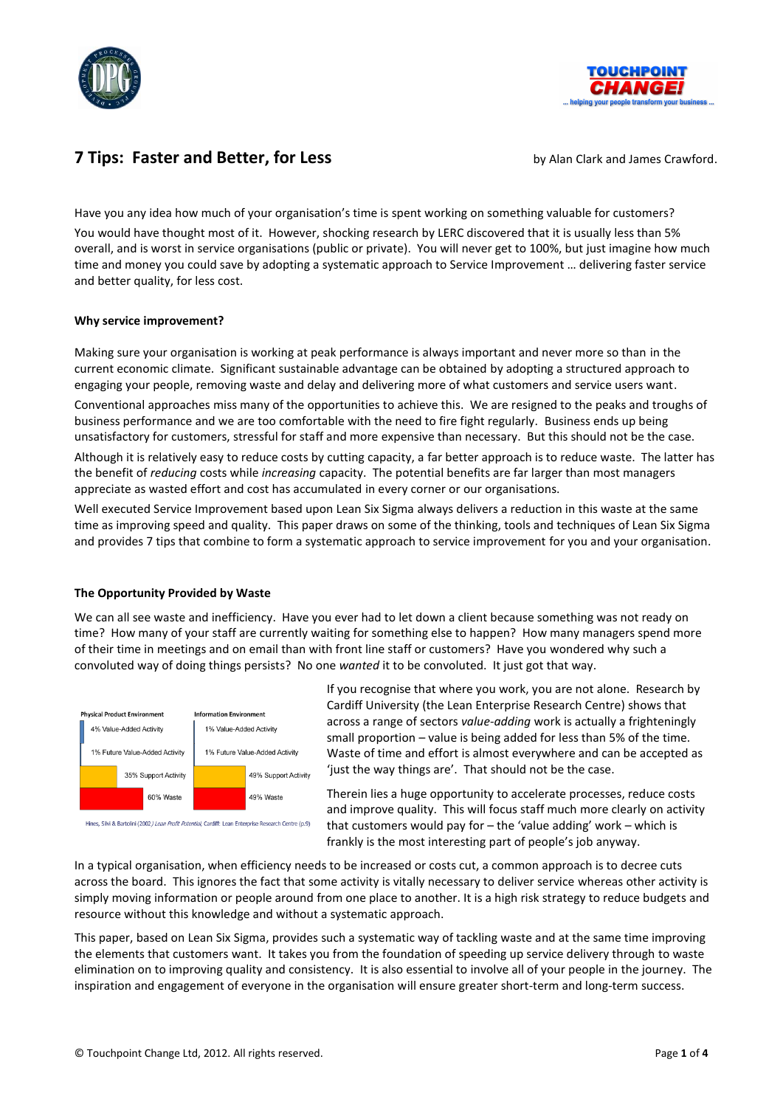



# **7 Tips: Faster and Better, for Less** by Alan Clark and James Crawford.

Have you any idea how much of your organisation's time is spent working on something valuable for customers? You would have thought most of it. However, shocking research by LERC discovered that it is usually less than 5% overall, and is worst in service organisations (public or private). You will never get to 100%, but just imagine how much time and money you could save by adopting a systematic approach to Service Improvement … delivering faster service and better quality, for less cost.

## **Why service improvement?**

Making sure your organisation is working at peak performance is always important and never more so than in the current economic climate. Significant sustainable advantage can be obtained by adopting a structured approach to engaging your people, removing waste and delay and delivering more of what customers and service users want.

Conventional approaches miss many of the opportunities to achieve this. We are resigned to the peaks and troughs of business performance and we are too comfortable with the need to fire fight regularly. Business ends up being unsatisfactory for customers, stressful for staff and more expensive than necessary. But this should not be the case.

Although it is relatively easy to reduce costs by cutting capacity, a far better approach is to reduce waste. The latter has the benefit of *reducing* costs while *increasing* capacity. The potential benefits are far larger than most managers appreciate as wasted effort and cost has accumulated in every corner or our organisations.

Well executed Service Improvement based upon Lean Six Sigma always delivers a reduction in this waste at the same time as improving speed and quality. This paper draws on some of the thinking, tools and techniques of Lean Six Sigma and provides 7 tips that combine to form a systematic approach to service improvement for you and your organisation.

## **The Opportunity Provided by Waste**

We can all see waste and inefficiency. Have you ever had to let down a client because something was not ready on time? How many of your staff are currently waiting for something else to happen? How many managers spend more of their time in meetings and on email than with front line staff or customers? Have you wondered why such a convoluted way of doing things persists? No one *wanted* it to be convoluted. It just got that way.



Hines, Silvi & Bartolini (2002*) Lean Profit Potential*, Cardiff: Lean Enterprise Research Centre (p.9)

If you recognise that where you work, you are not alone. Research by Cardiff University (the Lean Enterprise Research Centre) shows that across a range of sectors *value-adding* work is actually a frighteningly small proportion – value is being added for less than 5% of the time. Waste of time and effort is almost everywhere and can be accepted as 'just the way things are'. That should not be the case.

Therein lies a huge opportunity to accelerate processes, reduce costs and improve quality. This will focus staff much more clearly on activity that customers would pay for – the 'value adding' work – which is frankly is the most interesting part of people's job anyway.

In a typical organisation, when efficiency needs to be increased or costs cut, a common approach is to decree cuts across the board. This ignores the fact that some activity is vitally necessary to deliver service whereas other activity is simply moving information or people around from one place to another. It is a high risk strategy to reduce budgets and resource without this knowledge and without a systematic approach.

This paper, based on Lean Six Sigma, provides such a systematic way of tackling waste and at the same time improving the elements that customers want. It takes you from the foundation of speeding up service delivery through to waste elimination on to improving quality and consistency. It is also essential to involve all of your people in the journey. The inspiration and engagement of everyone in the organisation will ensure greater short-term and long-term success.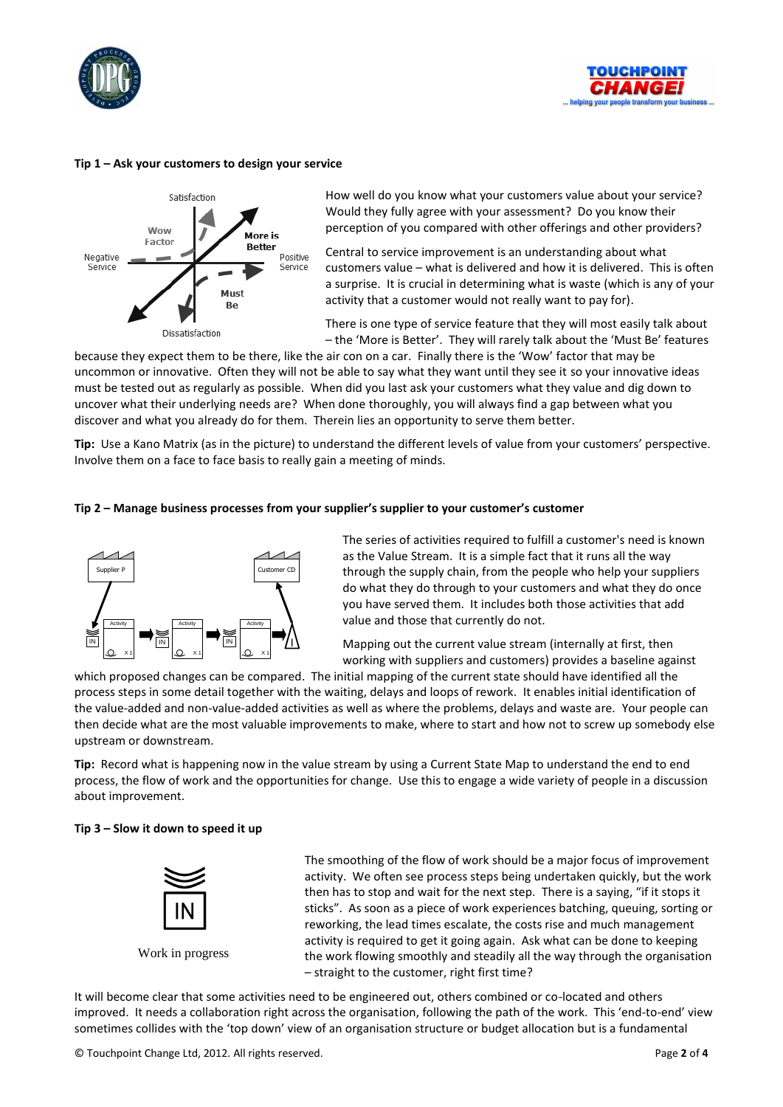



#### **Tip 1 – Ask your customers to design your service**



How well do you know what your customers value about your service? Would they fully agree with your assessment? Do you know their perception of you compared with other offerings and other providers?

Central to service improvement is an understanding about what customers value – what is delivered and how it is delivered. This is often a surprise. It is crucial in determining what is waste (which is any of your activity that a customer would not really want to pay for).

There is one type of service feature that they will most easily talk about – the 'More is Better'. They will rarely talk about the 'Must Be' features

because they expect them to be there, like the air con on a car. Finally there is the 'Wow' factor that may be uncommon or innovative. Often they will not be able to say what they want until they see it so your innovative ideas must be tested out as regularly as possible. When did you last ask your customers what they value and dig down to uncover what their underlying needs are? When done thoroughly, you will always find a gap between what you discover and what you already do for them. Therein lies an opportunity to serve them better.

**Tip:** Use a Kano Matrix (as in the picture) to understand the different levels of value from your customers' perspective. Involve them on a face to face basis to really gain a meeting of minds.

#### **Tip 2 – Manage business processes from your supplier's supplier to your customer's customer**



The series of activities required to fulfill a customer's need is known as the Value Stream. It is a simple fact that it runs all the way through the supply chain, from the people who help your suppliers do what they do through to your customers and what they do once you have served them. It includes both those activities that add value and those that currently do not.

Mapping out the current value stream (internally at first, then working with suppliers and customers) provides a baseline against

which proposed changes can be compared. The initial mapping of the current state should have identified all the process steps in some detail together with the waiting, delays and loops of rework. It enables initial identification of the value-added and non-value-added activities as well as where the problems, delays and waste are. Your people can then decide what are the most valuable improvements to make, where to start and how not to screw up somebody else upstream or downstream.

**Tip:** Record what is happening now in the value stream by using a Current State Map to understand the end to end process, the flow of work and the opportunities for change. Use this to engage a wide variety of people in a discussion about improvement.

## **Tip 3 – Slow it down to speed it up**



The smoothing of the flow of work should be a major focus of improvement activity. We often see process steps being undertaken quickly, but the work then has to stop and wait for the next step. There is a saying, "if it stops it sticks". As soon as a piece of work experiences batching, queuing, sorting or reworking, the lead times escalate, the costs rise and much management activity is required to get it going again. Ask what can be done to keeping the work flowing smoothly and steadily all the way through the organisation – straight to the customer, right first time? some the top downthing of the supplier structure proposed with the sometimes collides with the time of the time of the time of the time of the section or the section or the section of the section of the time of the time o

It will become clear that some activities need to be engineered out, others combined or co-located and others improved. It needs a collaboration right across the organisation, following the path of the work. This 'end-to-end' view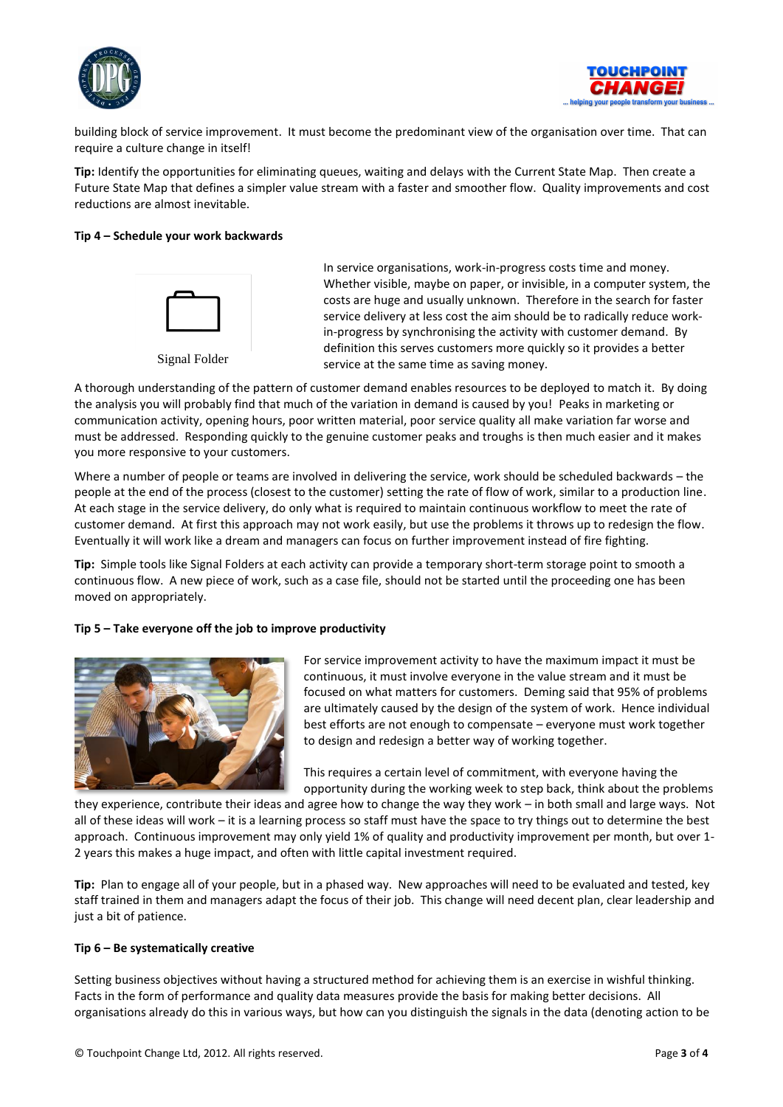



building block of service improvement. It must become the predominant view of the organisation over time. That can require a culture change in itself!

**Tip:** Identify the opportunities for eliminating queues, waiting and delays with the Current State Map. Then create a Future State Map that defines a simpler value stream with a faster and smoother flow. Quality improvements and cost reductions are almost inevitable.

## **Tip 4 – Schedule your work backwards**



In service organisations, work-in-progress costs time and money. Whether visible, maybe on paper, or invisible, in a computer system, the costs are huge and usually unknown. Therefore in the search for faster service delivery at less cost the aim should be to radically reduce workin-progress by synchronising the activity with customer demand. By definition this serves customers more quickly so it provides a better service at the same time as saving money.

A thorough understanding of the pattern of customer demand enables resources to be deployed to match it. By doing the analysis you will probably find that much of the variation in demand is caused by you! Peaks in marketing or communication activity, opening hours, poor written material, poor service quality all make variation far worse and must be addressed. Responding quickly to the genuine customer peaks and troughs is then much easier and it makes you more responsive to your customers.

Where a number of people or teams are involved in delivering the service, work should be scheduled backwards – the people at the end of the process (closest to the customer) setting the rate of flow of work, similar to a production line. At each stage in the service delivery, do only what is required to maintain continuous workflow to meet the rate of customer demand. At first this approach may not work easily, but use the problems it throws up to redesign the flow. Eventually it will work like a dream and managers can focus on further improvement instead of fire fighting.

**Tip:** Simple tools like Signal Folders at each activity can provide a temporary short-term storage point to smooth a continuous flow. A new piece of work, such as a case file, should not be started until the proceeding one has been moved on appropriately.

## **Tip 5 – Take everyone off the job to improve productivity**



For service improvement activity to have the maximum impact it must be continuous, it must involve everyone in the value stream and it must be focused on what matters for customers. Deming said that 95% of problems are ultimately caused by the design of the system of work. Hence individual best efforts are not enough to compensate – everyone must work together to design and redesign a better way of working together.

This requires a certain level of commitment, with everyone having the opportunity during the working week to step back, think about the problems

they experience, contribute their ideas and agree how to change the way they work – in both small and large ways. Not all of these ideas will work – it is a learning process so staff must have the space to try things out to determine the best approach. Continuous improvement may only yield 1% of quality and productivity improvement per month, but over 1- 2 years this makes a huge impact, and often with little capital investment required.

**Tip:** Plan to engage all of your people, but in a phased way. New approaches will need to be evaluated and tested, key staff trained in them and managers adapt the focus of their job. This change will need decent plan, clear leadership and just a bit of patience.

## **Tip 6 – Be systematically creative**

Setting business objectives without having a structured method for achieving them is an exercise in wishful thinking. Facts in the form of performance and quality data measures provide the basis for making better decisions. All organisations already do this in various ways, but how can you distinguish the signals in the data (denoting action to be